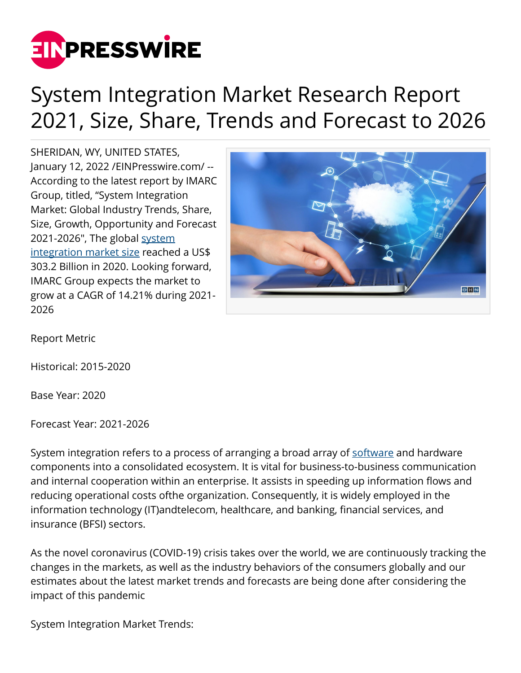

## System Integration Market Research Report 2021, Size, Share, Trends and Forecast to 2026

SHERIDAN, WY, UNITED STATES, January 12, 2022 /[EINPresswire.com](http://www.einpresswire.com)/ -- According to the latest report by IMARC Group, titled, "System Integration Market: Global Industry Trends, Share, Size, Growth, Opportunity and Forecast 2021-2026", The global [system](https://bit.ly/3getFEz) [integration market size](https://bit.ly/3getFEz) reached a US\$ 303.2 Billion in 2020. Looking forward, IMARC Group expects the market to grow at a CAGR of 14.21% during 2021- 2026



Report Metric

Historical: 2015-2020

Base Year: 2020

Forecast Year: 2021-2026

System integration refers to a process of arranging a broad array of [software](https://bit.ly/3IdH1f5) and hardware components into a consolidated ecosystem. It is vital for business-to-business communication and internal cooperation within an enterprise. It assists in speeding up information flows and reducing operational costs ofthe organization. Consequently, it is widely employed in the information technology (IT)andtelecom, healthcare, and banking, financial services, and insurance (BFSI) sectors.

As the novel coronavirus (COVID-19) crisis takes over the world, we are continuously tracking the changes in the markets, as well as the industry behaviors of the consumers globally and our estimates about the latest market trends and forecasts are being done after considering the impact of this pandemic

System Integration Market Trends: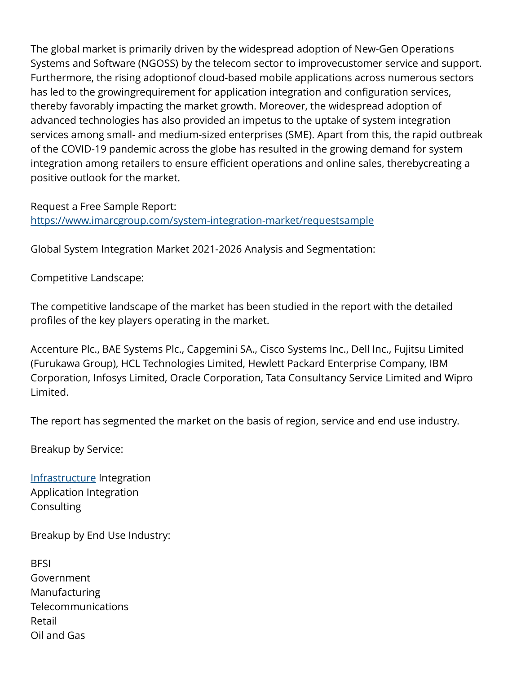The global market is primarily driven by the widespread adoption of New-Gen Operations Systems and Software (NGOSS) by the telecom sector to improvecustomer service and support. Furthermore, the rising adoptionof cloud-based mobile applications across numerous sectors has led to the growingrequirement for application integration and configuration services, thereby favorably impacting the market growth. Moreover, the widespread adoption of advanced technologies has also provided an impetus to the uptake of system integration services among small- and medium-sized enterprises (SME). Apart from this, the rapid outbreak of the COVID-19 pandemic across the globe has resulted in the growing demand for system integration among retailers to ensure efficient operations and online sales, therebycreating a positive outlook for the market.

Request a Free Sample Report: <https://www.imarcgroup.com/system-integration-market/requestsample>

Global System Integration Market 2021-2026 Analysis and Segmentation:

Competitive Landscape:

The competitive landscape of the market has been studied in the report with the detailed profiles of the key players operating in the market.

Accenture Plc., BAE Systems Plc., Capgemini SA., Cisco Systems Inc., Dell Inc., Fujitsu Limited (Furukawa Group), HCL Technologies Limited, Hewlett Packard Enterprise Company, IBM Corporation, Infosys Limited, Oracle Corporation, Tata Consultancy Service Limited and Wipro Limited.

The report has segmented the market on the basis of region, service and end use industry.

Breakup by Service:

[Infrastructure](https://bit.ly/3qiCHom) Integration Application Integration Consulting

Breakup by End Use Industry:

**BFSI** Government Manufacturing Telecommunications Retail Oil and Gas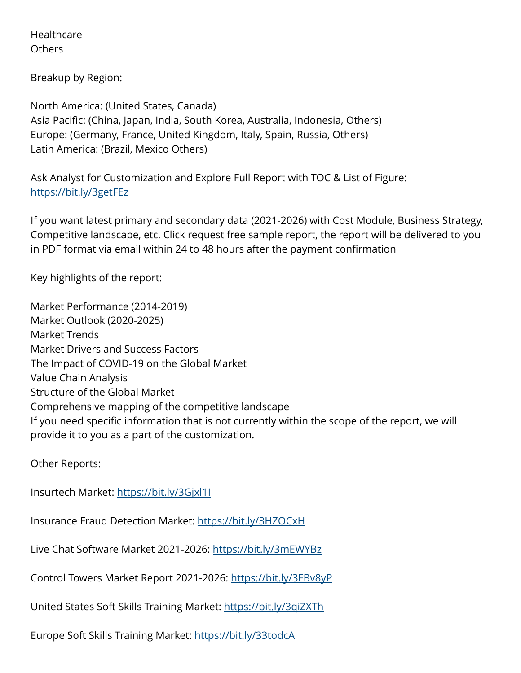Healthcare Others

Breakup by Region:

North America: (United States, Canada) Asia Pacific: (China, Japan, India, South Korea, Australia, Indonesia, Others) Europe: (Germany, France, United Kingdom, Italy, Spain, Russia, Others) Latin America: (Brazil, Mexico Others)

Ask Analyst for Customization and Explore Full Report with TOC & List of Figure: <https://bit.ly/3getFEz>

If you want latest primary and secondary data (2021-2026) with Cost Module, Business Strategy, Competitive landscape, etc. Click request free sample report, the report will be delivered to you in PDF format via email within 24 to 48 hours after the payment confirmation

Key highlights of the report:

Market Performance (2014-2019) Market Outlook (2020-2025) Market Trends Market Drivers and Success Factors The Impact of COVID-19 on the Global Market Value Chain Analysis Structure of the Global Market Comprehensive mapping of the competitive landscape If you need specific information that is not currently within the scope of the report, we will provide it to you as a part of the customization.

Other Reports:

Insurtech Market: <https://bit.ly/3Gjxl1I>

Insurance Fraud Detection Market:<https://bit.ly/3HZOCxH>

Live Chat Software Market 2021-2026:<https://bit.ly/3mEWYBz>

Control Towers Market Report 2021-2026:<https://bit.ly/3FBv8yP>

United States Soft Skills Training Market:<https://bit.ly/3qiZXTh>

Europe Soft Skills Training Market: <https://bit.ly/33todcA>